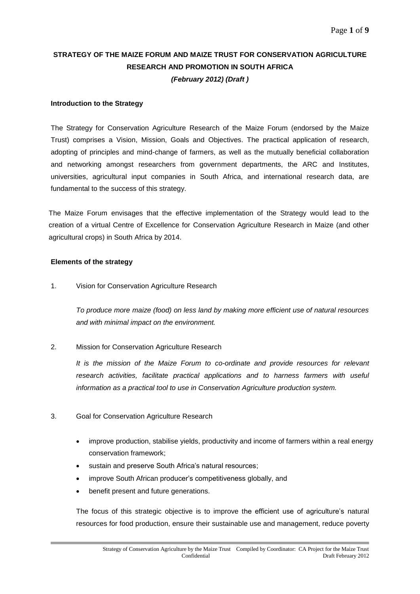# **STRATEGY OF THE MAIZE FORUM AND MAIZE TRUST FOR CONSERVATION AGRICULTURE RESEARCH AND PROMOTION IN SOUTH AFRICA** *(February 2012) (Draft )*

## **Introduction to the Strategy**

The Strategy for Conservation Agriculture Research of the Maize Forum (endorsed by the Maize Trust) comprises a Vision, Mission, Goals and Objectives. The practical application of research, adopting of principles and mind-change of farmers, as well as the mutually beneficial collaboration and networking amongst researchers from government departments, the ARC and Institutes, universities, agricultural input companies in South Africa, and international research data, are fundamental to the success of this strategy.

The Maize Forum envisages that the effective implementation of the Strategy would lead to the creation of a virtual Centre of Excellence for Conservation Agriculture Research in Maize (and other agricultural crops) in South Africa by 2014.

## **Elements of the strategy**

1. Vision for Conservation Agriculture Research

*To produce more maize (food) on less land by making more efficient use of natural resources and with minimal impact on the environment.*

2. Mission for Conservation Agriculture Research

*It is the mission of the Maize Forum to co-ordinate and provide resources for relevant research activities, facilitate practical applications and to harness farmers with useful information as a practical tool to use in Conservation Agriculture production system.*

- 3. Goal for Conservation Agriculture Research
	- improve production, stabilise yields, productivity and income of farmers within a real energy conservation framework;
	- sustain and preserve South Africa's natural resources;
	- improve South African producer's competitiveness globally, and
	- benefit present and future generations.

The focus of this strategic objective is to improve the efficient use of agriculture's natural resources for food production, ensure their sustainable use and management, reduce poverty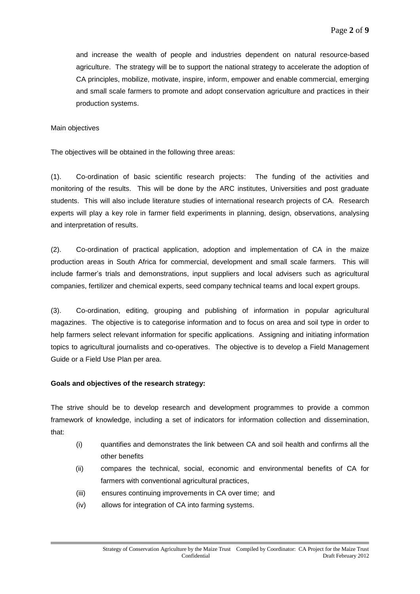and increase the wealth of people and industries dependent on natural resource-based agriculture. The strategy will be to support the national strategy to accelerate the adoption of CA principles, mobilize, motivate, inspire, inform, empower and enable commercial, emerging and small scale farmers to promote and adopt conservation agriculture and practices in their production systems.

#### Main objectives

The objectives will be obtained in the following three areas:

(1). Co-ordination of basic scientific research projects: The funding of the activities and monitoring of the results. This will be done by the ARC institutes, Universities and post graduate students. This will also include literature studies of international research projects of CA. Research experts will play a key role in farmer field experiments in planning, design, observations, analysing and interpretation of results.

(2). Co-ordination of practical application, adoption and implementation of CA in the maize production areas in South Africa for commercial, development and small scale farmers. This will include farmer's trials and demonstrations, input suppliers and local advisers such as agricultural companies, fertilizer and chemical experts, seed company technical teams and local expert groups.

(3). Co-ordination, editing, grouping and publishing of information in popular agricultural magazines. The objective is to categorise information and to focus on area and soil type in order to help farmers select relevant information for specific applications. Assigning and initiating information topics to agricultural journalists and co-operatives. The objective is to develop a Field Management Guide or a Field Use Plan per area.

#### **Goals and objectives of the research strategy:**

The strive should be to develop research and development programmes to provide a common framework of knowledge, including a set of indicators for information collection and dissemination, that:

- (i) quantifies and demonstrates the link between CA and soil health and confirms all the other benefits
- (ii) compares the technical, social, economic and environmental benefits of CA for farmers with conventional agricultural practices,
- (iii) ensures continuing improvements in CA over time; and
- (iv) allows for integration of CA into farming systems.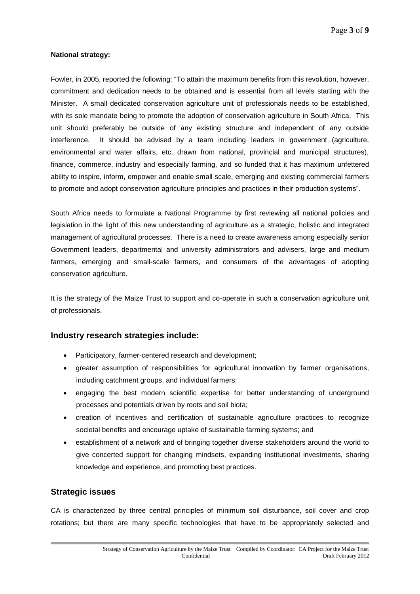## **National strategy:**

Fowler, in 2005, reported the following: "To attain the maximum benefits from this revolution, however, commitment and dedication needs to be obtained and is essential from all levels starting with the Minister. A small dedicated conservation agriculture unit of professionals needs to be established, with its sole mandate being to promote the adoption of conservation agriculture in South Africa. This unit should preferably be outside of any existing structure and independent of any outside interference. It should be advised by a team including leaders in government (agriculture, environmental and water affairs, etc. drawn from national, provincial and municipal structures), finance, commerce, industry and especially farming, and so funded that it has maximum unfettered ability to inspire, inform, empower and enable small scale, emerging and existing commercial farmers to promote and adopt conservation agriculture principles and practices in their production systems".

South Africa needs to formulate a National Programme by first reviewing all national policies and legislation in the light of this new understanding of agriculture as a strategic, holistic and integrated management of agricultural processes. There is a need to create awareness among especially senior Government leaders, departmental and university administrators and advisers, large and medium farmers, emerging and small-scale farmers, and consumers of the advantages of adopting conservation agriculture.

It is the strategy of the Maize Trust to support and co-operate in such a conservation agriculture unit of professionals.

## **Industry research strategies include:**

- Participatory, farmer-centered research and development;
- greater assumption of responsibilities for agricultural innovation by farmer organisations, including catchment groups, and individual farmers;
- engaging the best modern scientific expertise for better understanding of underground processes and potentials driven by roots and soil biota;
- creation of incentives and certification of sustainable agriculture practices to recognize societal benefits and encourage uptake of sustainable farming systems; and
- establishment of a network and of bringing together diverse stakeholders around the world to give concerted support for changing mindsets, expanding institutional investments, sharing knowledge and experience, and promoting best practices.

## **Strategic issues**

CA is characterized by three central principles of minimum soil disturbance, soil cover and crop rotations; but there are many specific technologies that have to be appropriately selected and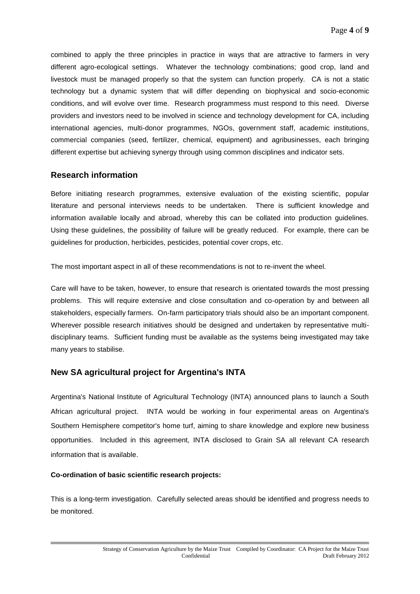combined to apply the three principles in practice in ways that are attractive to farmers in very different agro-ecological settings. Whatever the technology combinations; good crop, land and livestock must be managed properly so that the system can function properly. CA is not a static technology but a dynamic system that will differ depending on biophysical and socio-economic conditions, and will evolve over time. Research programmess must respond to this need. Diverse providers and investors need to be involved in science and technology development for CA, including international agencies, multi-donor programmes, NGOs, government staff, academic institutions, commercial companies (seed, fertilizer, chemical, equipment) and agribusinesses, each bringing different expertise but achieving synergy through using common disciplines and indicator sets.

## **Research information**

Before initiating research programmes, extensive evaluation of the existing scientific, popular literature and personal interviews needs to be undertaken. There is sufficient knowledge and information available locally and abroad, whereby this can be collated into production guidelines. Using these guidelines, the possibility of failure will be greatly reduced. For example, there can be guidelines for production, herbicides, pesticides, potential cover crops, etc.

The most important aspect in all of these recommendations is not to re-invent the wheel.

Care will have to be taken, however, to ensure that research is orientated towards the most pressing problems. This will require extensive and close consultation and co-operation by and between all stakeholders, especially farmers. On-farm participatory trials should also be an important component. Wherever possible research initiatives should be designed and undertaken by representative multidisciplinary teams. Sufficient funding must be available as the systems being investigated may take many years to stabilise.

# **New SA agricultural project for Argentina's INTA**

Argentina's National Institute of Agricultural Technology (INTA) announced plans to launch a South African agricultural project. INTA would be working in four experimental areas on Argentina's Southern Hemisphere competitor's home turf, aiming to share knowledge and explore new business opportunities. Included in this agreement, INTA disclosed to Grain SA all relevant CA research information that is available.

## **Co-ordination of basic scientific research projects:**

This is a long-term investigation. Carefully selected areas should be identified and progress needs to be monitored.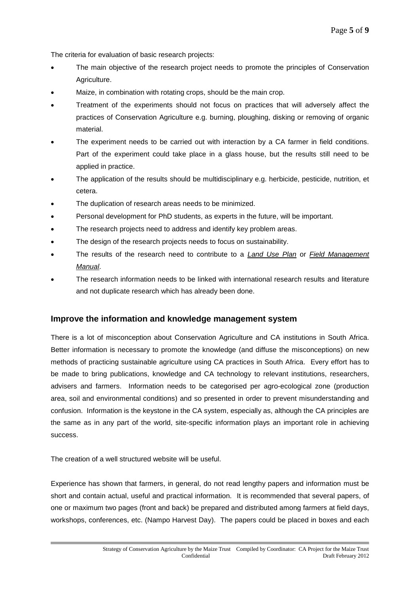The criteria for evaluation of basic research projects:

- The main objective of the research project needs to promote the principles of Conservation Agriculture.
- Maize, in combination with rotating crops, should be the main crop.
- Treatment of the experiments should not focus on practices that will adversely affect the practices of Conservation Agriculture e.g. burning, ploughing, disking or removing of organic material.
- The experiment needs to be carried out with interaction by a CA farmer in field conditions. Part of the experiment could take place in a glass house, but the results still need to be applied in practice.
- The application of the results should be multidisciplinary e.g. herbicide, pesticide, nutrition, et cetera.
- The duplication of research areas needs to be minimized.
- Personal development for PhD students, as experts in the future, will be important.
- The research projects need to address and identify key problem areas.
- The design of the research projects needs to focus on sustainability.
- The results of the research need to contribute to a *Land Use Plan* or *Field Management Manual*.
- The research information needs to be linked with international research results and literature and not duplicate research which has already been done.

# **Improve the information and knowledge management system**

There is a lot of misconception about Conservation Agriculture and CA institutions in South Africa. Better information is necessary to promote the knowledge (and diffuse the misconceptions) on new methods of practicing sustainable agriculture using CA practices in South Africa. Every effort has to be made to bring publications, knowledge and CA technology to relevant institutions, researchers, advisers and farmers. Information needs to be categorised per agro-ecological zone (production area, soil and environmental conditions) and so presented in order to prevent misunderstanding and confusion. Information is the keystone in the CA system, especially as, although the CA principles are the same as in any part of the world, site-specific information plays an important role in achieving success.

The creation of a well structured website will be useful.

Experience has shown that farmers, in general, do not read lengthy papers and information must be short and contain actual, useful and practical information. It is recommended that several papers, of one or maximum two pages (front and back) be prepared and distributed among farmers at field days, workshops, conferences, etc. (Nampo Harvest Day). The papers could be placed in boxes and each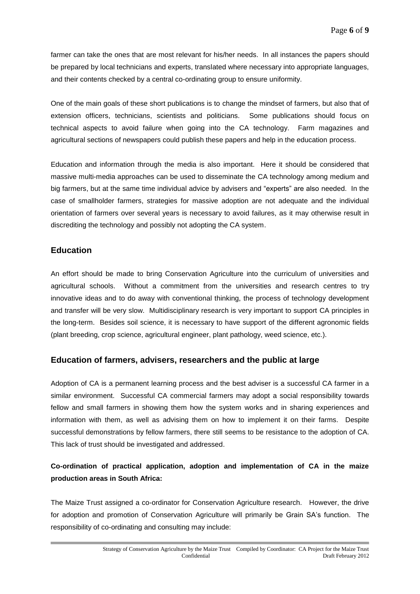farmer can take the ones that are most relevant for his/her needs. In all instances the papers should be prepared by local technicians and experts, translated where necessary into appropriate languages, and their contents checked by a central co-ordinating group to ensure uniformity.

One of the main goals of these short publications is to change the mindset of farmers, but also that of extension officers, technicians, scientists and politicians. Some publications should focus on technical aspects to avoid failure when going into the CA technology. Farm magazines and agricultural sections of newspapers could publish these papers and help in the education process.

Education and information through the media is also important. Here it should be considered that massive multi-media approaches can be used to disseminate the CA technology among medium and big farmers, but at the same time individual advice by advisers and "experts" are also needed. In the case of smallholder farmers, strategies for massive adoption are not adequate and the individual orientation of farmers over several years is necessary to avoid failures, as it may otherwise result in discrediting the technology and possibly not adopting the CA system.

# **Education**

An effort should be made to bring Conservation Agriculture into the curriculum of universities and agricultural schools. Without a commitment from the universities and research centres to try innovative ideas and to do away with conventional thinking, the process of technology development and transfer will be very slow. Multidisciplinary research is very important to support CA principles in the long-term. Besides soil science, it is necessary to have support of the different agronomic fields (plant breeding, crop science, agricultural engineer, plant pathology, weed science, etc.).

# **Education of farmers, advisers, researchers and the public at large**

Adoption of CA is a permanent learning process and the best adviser is a successful CA farmer in a similar environment. Successful CA commercial farmers may adopt a social responsibility towards fellow and small farmers in showing them how the system works and in sharing experiences and information with them, as well as advising them on how to implement it on their farms. Despite successful demonstrations by fellow farmers, there still seems to be resistance to the adoption of CA. This lack of trust should be investigated and addressed.

# **Co-ordination of practical application, adoption and implementation of CA in the maize production areas in South Africa:**

The Maize Trust assigned a co-ordinator for Conservation Agriculture research. However, the drive for adoption and promotion of Conservation Agriculture will primarily be Grain SA's function. The responsibility of co-ordinating and consulting may include: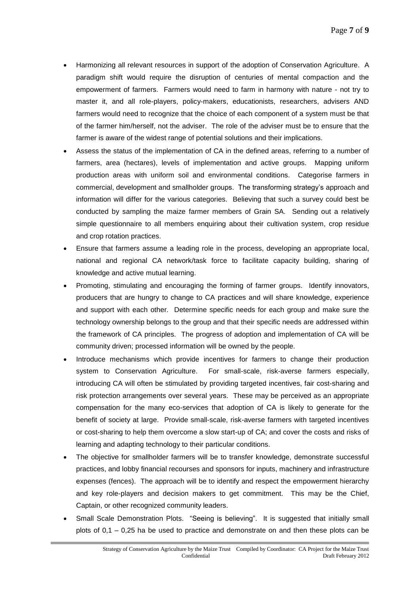- Harmonizing all relevant resources in support of the adoption of Conservation Agriculture. A paradigm shift would require the disruption of centuries of mental compaction and the empowerment of farmers. Farmers would need to farm in harmony with nature - not try to master it, and all role-players, policy-makers, educationists, researchers, advisers AND farmers would need to recognize that the choice of each component of a system must be that of the farmer him/herself, not the adviser. The role of the adviser must be to ensure that the farmer is aware of the widest range of potential solutions and their implications.
- Assess the status of the implementation of CA in the defined areas, referring to a number of farmers, area (hectares), levels of implementation and active groups. Mapping uniform production areas with uniform soil and environmental conditions. Categorise farmers in commercial, development and smallholder groups. The transforming strategy's approach and information will differ for the various categories. Believing that such a survey could best be conducted by sampling the maize farmer members of Grain SA. Sending out a relatively simple questionnaire to all members enquiring about their cultivation system, crop residue and crop rotation practices.
- Ensure that farmers assume a leading role in the process, developing an appropriate local, national and regional CA network/task force to facilitate capacity building, sharing of knowledge and active mutual learning.
- Promoting, stimulating and encouraging the forming of farmer groups. Identify innovators, producers that are hungry to change to CA practices and will share knowledge, experience and support with each other. Determine specific needs for each group and make sure the technology ownership belongs to the group and that their specific needs are addressed within the framework of CA principles. The progress of adoption and implementation of CA will be community driven; processed information will be owned by the people.
- Introduce mechanisms which provide incentives for farmers to change their production system to Conservation Agriculture. For small-scale, risk-averse farmers especially, introducing CA will often be stimulated by providing targeted incentives, fair cost-sharing and risk protection arrangements over several years. These may be perceived as an appropriate compensation for the many eco-services that adoption of CA is likely to generate for the benefit of society at large. Provide small-scale, risk-averse farmers with targeted incentives or cost-sharing to help them overcome a slow start-up of CA; and cover the costs and risks of learning and adapting technology to their particular conditions.
- The objective for smallholder farmers will be to transfer knowledge, demonstrate successful practices, and lobby financial recourses and sponsors for inputs, machinery and infrastructure expenses (fences). The approach will be to identify and respect the empowerment hierarchy and key role-players and decision makers to get commitment. This may be the Chief, Captain, or other recognized community leaders.
- Small Scale Demonstration Plots. "Seeing is believing". It is suggested that initially small plots of 0,1 – 0,25 ha be used to practice and demonstrate on and then these plots can be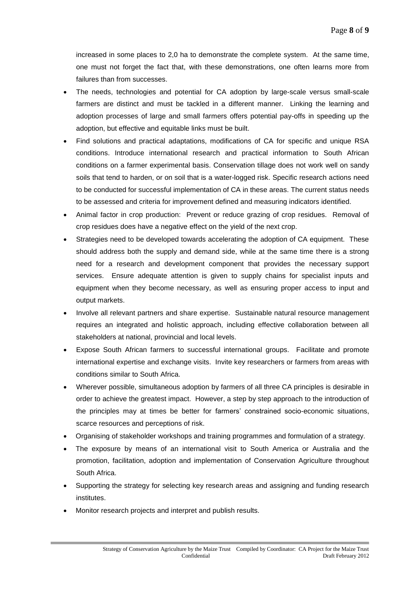increased in some places to 2,0 ha to demonstrate the complete system. At the same time, one must not forget the fact that, with these demonstrations, one often learns more from failures than from successes.

- The needs, technologies and potential for CA adoption by large-scale versus small-scale farmers are distinct and must be tackled in a different manner. Linking the learning and adoption processes of large and small farmers offers potential pay-offs in speeding up the adoption, but effective and equitable links must be built.
- Find solutions and practical adaptations, modifications of CA for specific and unique RSA conditions. Introduce international research and practical information to South African conditions on a farmer experimental basis. Conservation tillage does not work well on sandy soils that tend to harden, or on soil that is a water-logged risk. Specific research actions need to be conducted for successful implementation of CA in these areas. The current status needs to be assessed and criteria for improvement defined and measuring indicators identified.
- Animal factor in crop production: Prevent or reduce grazing of crop residues. Removal of crop residues does have a negative effect on the yield of the next crop.
- Strategies need to be developed towards accelerating the adoption of CA equipment. These should address both the supply and demand side, while at the same time there is a strong need for a research and development component that provides the necessary support services. Ensure adequate attention is given to supply chains for specialist inputs and equipment when they become necessary, as well as ensuring proper access to input and output markets.
- Involve all relevant partners and share expertise. Sustainable natural resource management requires an integrated and holistic approach, including effective collaboration between all stakeholders at national, provincial and local levels.
- Expose South African farmers to successful international groups. Facilitate and promote international expertise and exchange visits. Invite key researchers or farmers from areas with conditions similar to South Africa.
- Wherever possible, simultaneous adoption by farmers of all three CA principles is desirable in order to achieve the greatest impact. However, a step by step approach to the introduction of the principles may at times be better for farmers' constrained socio-economic situations, scarce resources and perceptions of risk.
- Organising of stakeholder workshops and training programmes and formulation of a strategy.
- The exposure by means of an international visit to South America or Australia and the promotion, facilitation, adoption and implementation of Conservation Agriculture throughout South Africa.
- Supporting the strategy for selecting key research areas and assigning and funding research institutes.
- Monitor research projects and interpret and publish results.